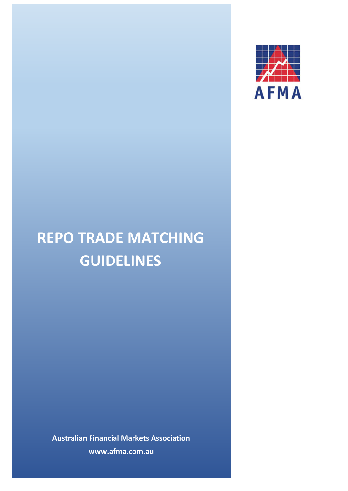

# **REPO TRADE MATCHING GUIDELINES**

**Australian Financial Markets Association www.afma.com.au**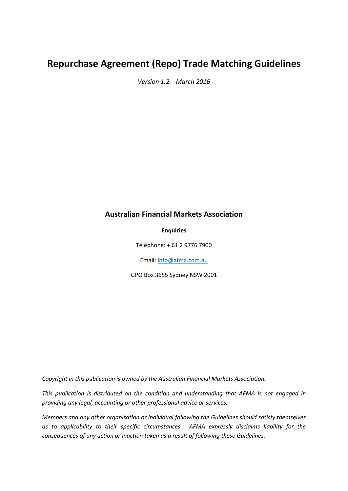## **Repurchase Agreement (Repo) Trade Matching Guidelines**

*Version 1.2 March 2016*

#### **Australian Financial Markets Association**

#### **Enquiries**

Telephone: + 61 2 9776 7900

Email[: info@afma.com.au](mailto:info@afma.com.au)

GPO Box 3655 Sydney NSW 2001

*Copyright in this publication is owned by the Australian Financial Markets Association.*

*This publication is distributed on the condition and understanding that AFMA is not engaged in providing any legal, accounting or other professional advice or services.*

*Members and any other organisation or individual following the Guidelines should satisfy themselves as to applicability to their specific circumstances. AFMA expressly disclaims liability for the consequences of any action or inaction taken as a result of following these Guidelines.*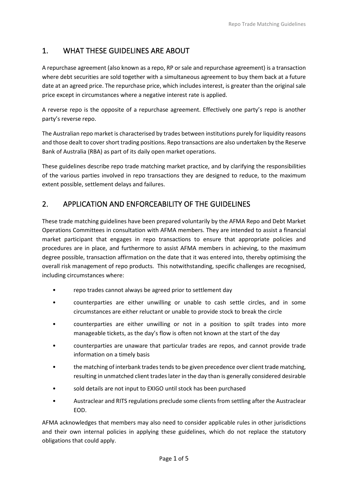## 1. WHAT THESE GUIDELINES ARE ABOUT

A repurchase agreement (also known as a repo, RP or sale and repurchase agreement) is a transaction where debt securities are sold together with a simultaneous agreement to buy them back at a future date at an agreed price. The repurchase price, which includes interest, is greater than the original sale price except in circumstances where a negative interest rate is applied.

A reverse repo is the opposite of a repurchase agreement. Effectively one party's repo is another party's reverse repo.

The Australian repo market is characterised by trades between institutions purely for liquidity reasons and those dealt to cover short trading positions. Repo transactions are also undertaken by the Reserve Bank of Australia (RBA) as part of its daily open market operations.

These guidelines describe repo trade matching market practice, and by clarifying the responsibilities of the various parties involved in repo transactions they are designed to reduce, to the maximum extent possible, settlement delays and failures.

## 2. APPLICATION AND ENFORCEABILITY OF THE GUIDELINES

These trade matching guidelines have been prepared voluntarily by the AFMA Repo and Debt Market Operations Committees in consultation with AFMA members. They are intended to assist a financial market participant that engages in repo transactions to ensure that appropriate policies and procedures are in place, and furthermore to assist AFMA members in achieving, to the maximum degree possible, transaction affirmation on the date that it was entered into, thereby optimising the overall risk management of repo products. This notwithstanding, specific challenges are recognised, including circumstances where:

- repo trades cannot always be agreed prior to settlement day
- counterparties are either unwilling or unable to cash settle circles, and in some circumstances are either reluctant or unable to provide stock to break the circle
- counterparties are either unwilling or not in a position to spilt trades into more manageable tickets, as the day's flow is often not known at the start of the day
- counterparties are unaware that particular trades are repos, and cannot provide trade information on a timely basis
- the matching of interbank trades tends to be given precedence over client trade matching, resulting in unmatched client trades later in the day than is generally considered desirable
- sold details are not input to EXIGO until stock has been purchased
- Austraclear and RITS regulations preclude some clients from settling after the Austraclear EOD.

AFMA acknowledges that members may also need to consider applicable rules in other jurisdictions and their own internal policies in applying these guidelines, which do not replace the statutory obligations that could apply.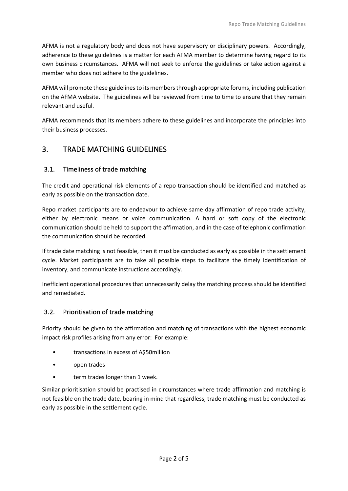AFMA is not a regulatory body and does not have supervisory or disciplinary powers. Accordingly, adherence to these guidelines is a matter for each AFMA member to determine having regard to its own business circumstances. AFMA will not seek to enforce the guidelines or take action against a member who does not adhere to the guidelines.

AFMA will promote these guidelines to its members through appropriate forums, including publication on the AFMA website. The guidelines will be reviewed from time to time to ensure that they remain relevant and useful.

AFMA recommends that its members adhere to these guidelines and incorporate the principles into their business processes.

### 3. TRADE MATCHING GUIDELINES

#### 3.1. Timeliness of trade matching

The credit and operational risk elements of a repo transaction should be identified and matched as early as possible on the transaction date.

Repo market participants are to endeavour to achieve same day affirmation of repo trade activity, either by electronic means or voice communication. A hard or soft copy of the electronic communication should be held to support the affirmation, and in the case of telephonic confirmation the communication should be recorded.

If trade date matching is not feasible, then it must be conducted as early as possible in the settlement cycle. Market participants are to take all possible steps to facilitate the timely identification of inventory, and communicate instructions accordingly.

Inefficient operational procedures that unnecessarily delay the matching process should be identified and remediated.

#### 3.2. Prioritisation of trade matching

Priority should be given to the affirmation and matching of transactions with the highest economic impact risk profiles arising from any error: For example:

- transactions in excess of A\$50million
- open trades
- term trades longer than 1 week.

Similar prioritisation should be practised in circumstances where trade affirmation and matching is not feasible on the trade date, bearing in mind that regardless, trade matching must be conducted as early as possible in the settlement cycle.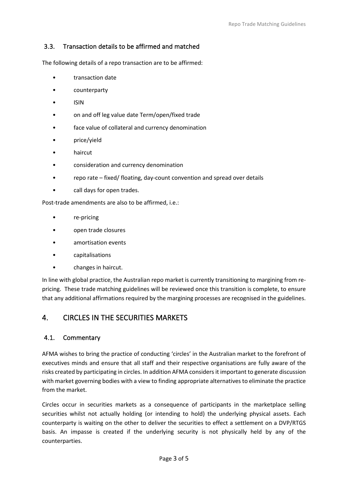#### 3.3. Transaction details to be affirmed and matched

The following details of a repo transaction are to be affirmed:

- transaction date
- counterparty
- ISIN
- on and off leg value date Term/open/fixed trade
- face value of collateral and currency denomination
- price/yield
- haircut
- consideration and currency denomination
- repo rate fixed/ floating, day-count convention and spread over details
- call days for open trades.

Post-trade amendments are also to be affirmed, i.e.:

- re-pricing
- open trade closures
- amortisation events
- capitalisations
- changes in haircut.

In line with global practice, the Australian repo market is currently transitioning to margining from repricing. These trade matching guidelines will be reviewed once this transition is complete, to ensure that any additional affirmations required by the margining processes are recognised in the guidelines.

## 4. CIRCLES IN THE SECURITIES MARKETS

#### 4.1. Commentary

AFMA wishes to bring the practice of conducting 'circles' in the Australian market to the forefront of executives minds and ensure that all staff and their respective organisations are fully aware of the risks created by participating in circles. In addition AFMA considers it important to generate discussion with market governing bodies with a view to finding appropriate alternatives to eliminate the practice from the market.

Circles occur in securities markets as a consequence of participants in the marketplace selling securities whilst not actually holding (or intending to hold) the underlying physical assets. Each counterparty is waiting on the other to deliver the securities to effect a settlement on a DVP/RTGS basis. An impasse is created if the underlying security is not physically held by any of the counterparties.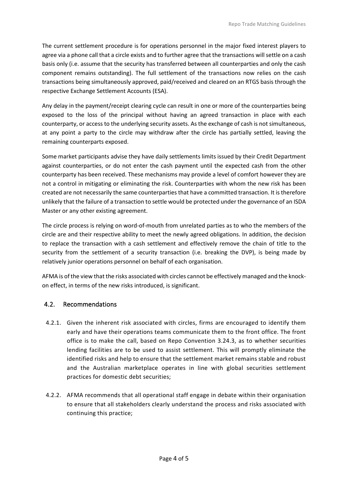The current settlement procedure is for operations personnel in the major fixed interest players to agree via a phone call that a circle exists and to further agree that the transactions will settle on a cash basis only (i.e. assume that the security has transferred between all counterparties and only the cash component remains outstanding). The full settlement of the transactions now relies on the cash transactions being simultaneously approved, paid/received and cleared on an RTGS basis through the respective Exchange Settlement Accounts (ESA).

Any delay in the payment/receipt clearing cycle can result in one or more of the counterparties being exposed to the loss of the principal without having an agreed transaction in place with each counterparty, or access to the underlying security assets. As the exchange of cash is not simultaneous, at any point a party to the circle may withdraw after the circle has partially settled, leaving the remaining counterparts exposed.

Some market participants advise they have daily settlements limits issued by their Credit Department against counterparties, or do not enter the cash payment until the expected cash from the other counterparty has been received. These mechanisms may provide a level of comfort however they are not a control in mitigating or eliminating the risk. Counterparties with whom the new risk has been created are not necessarily the same counterparties that have a committed transaction. It is therefore unlikely that the failure of a transaction to settle would be protected under the governance of an ISDA Master or any other existing agreement.

The circle process is relying on word-of-mouth from unrelated parties as to who the members of the circle are and their respective ability to meet the newly agreed obligations. In addition, the decision to replace the transaction with a cash settlement and effectively remove the chain of title to the security from the settlement of a security transaction (i.e. breaking the DVP), is being made by relatively junior operations personnel on behalf of each organisation.

AFMA is of the view that the risks associated with circles cannot be effectively managed and the knockon effect, in terms of the new risks introduced, is significant.

#### 4.2. Recommendations

- 4.2.1. Given the inherent risk associated with circles, firms are encouraged to identify them early and have their operations teams communicate them to the front office. The front office is to make the call, based on Repo Convention 3.24.3, as to whether securities lending facilities are to be used to assist settlement. This will promptly eliminate the identified risks and help to ensure that the settlement market remains stable and robust and the Australian marketplace operates in line with global securities settlement practices for domestic debt securities;
- 4.2.2. AFMA recommends that all operational staff engage in debate within their organisation to ensure that all stakeholders clearly understand the process and risks associated with continuing this practice;